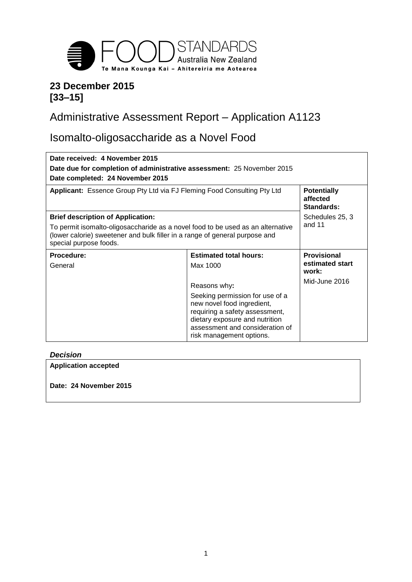

## **23 December 2015 [33–15]**

# Administrative Assessment Report – Application A1123

# Isomalto-oligosaccharide as a Novel Food

| Date received: 4 November 2015<br>Date due for completion of administrative assessment: 25 November 2015                                                                                 |                                                               |                                              |  |
|------------------------------------------------------------------------------------------------------------------------------------------------------------------------------------------|---------------------------------------------------------------|----------------------------------------------|--|
| Date completed: 24 November 2015<br>Applicant: Essence Group Pty Ltd via FJ Fleming Food Consulting Pty Ltd                                                                              |                                                               | <b>Potentially</b><br>affected<br>Standards: |  |
| <b>Brief description of Application:</b>                                                                                                                                                 |                                                               | Schedules 25, 3                              |  |
| To permit isomalto-oligosaccharide as a novel food to be used as an alternative<br>(lower calorie) sweetener and bulk filler in a range of general purpose and<br>special purpose foods. |                                                               | and 11                                       |  |
| Procedure:                                                                                                                                                                               | <b>Estimated total hours:</b>                                 | <b>Provisional</b>                           |  |
| General                                                                                                                                                                                  | Max 1000                                                      | estimated start<br>work:                     |  |
|                                                                                                                                                                                          | Reasons why:                                                  | Mid-June 2016                                |  |
|                                                                                                                                                                                          | Seeking permission for use of a<br>new novel food ingredient, |                                              |  |

#### *Decision*

**Application accepted Date: 24 November 2015**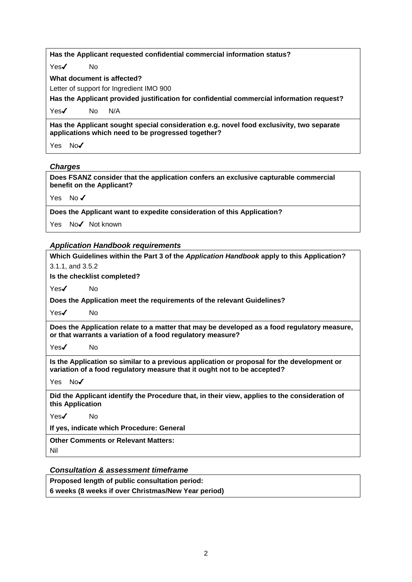| Has the Applicant requested confidential commercial information status?                                                                        |  |  |
|------------------------------------------------------------------------------------------------------------------------------------------------|--|--|
| Yes $\checkmark$<br>No.                                                                                                                        |  |  |
| What document is affected?                                                                                                                     |  |  |
| Letter of support for Ingredient IMO 900                                                                                                       |  |  |
| Has the Applicant provided justification for confidential commercial information request?                                                      |  |  |
| Yes $\checkmark$<br>N/A<br>No.                                                                                                                 |  |  |
| Has the Applicant sought special consideration e.g. novel food exclusivity, two separate<br>applications which need to be progressed together? |  |  |
| No $\checkmark$<br>Yes                                                                                                                         |  |  |

#### *Charges*

**Does FSANZ consider that the application confers an exclusive capturable commercial benefit on the Applicant?**

Yes No✔

**Does the Applicant want to expedite consideration of this Application?**

Yes No✔ Not known

#### *Application Handbook requirements*

| Application rightapoon requirements                                                                                                                                    |  |  |
|------------------------------------------------------------------------------------------------------------------------------------------------------------------------|--|--|
| Which Guidelines within the Part 3 of the Application Handbook apply to this Application?                                                                              |  |  |
| 3.1.1, and 3.5.2                                                                                                                                                       |  |  |
| Is the checklist completed?                                                                                                                                            |  |  |
| Yes $\checkmark$<br>No.                                                                                                                                                |  |  |
| Does the Application meet the requirements of the relevant Guidelines?                                                                                                 |  |  |
| $Yes\checkmark$<br>No.                                                                                                                                                 |  |  |
| Does the Application relate to a matter that may be developed as a food regulatory measure,<br>or that warrants a variation of a food regulatory measure?              |  |  |
| Yes $\checkmark$<br>No.                                                                                                                                                |  |  |
| Is the Application so similar to a previous application or proposal for the development or<br>variation of a food regulatory measure that it ought not to be accepted? |  |  |
| Yes No✔                                                                                                                                                                |  |  |
| Did the Applicant identify the Procedure that, in their view, applies to the consideration of<br>this Application                                                      |  |  |
| Yes✔<br>No.                                                                                                                                                            |  |  |
| If yes, indicate which Procedure: General                                                                                                                              |  |  |
| <b>Other Comments or Relevant Matters:</b>                                                                                                                             |  |  |
| Nil                                                                                                                                                                    |  |  |

#### *Consultation & assessment timeframe*

**Proposed length of public consultation period: 6 weeks (8 weeks if over Christmas/New Year period)**